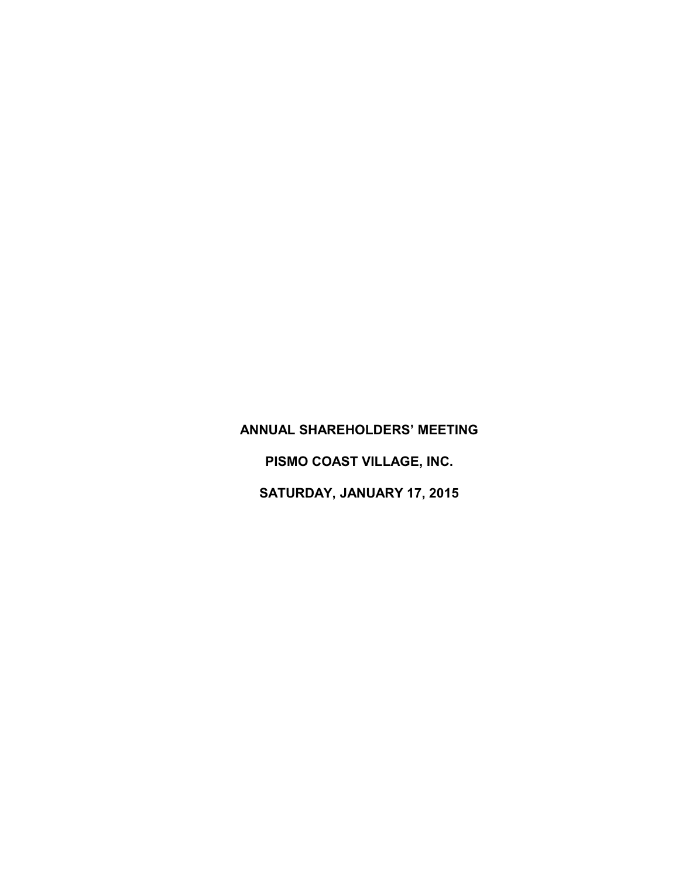## **ANNUAL SHAREHOLDERS' MEETING PISMO COAST VILLAGE, INC. SATURDAY, JANUARY 17, 2015**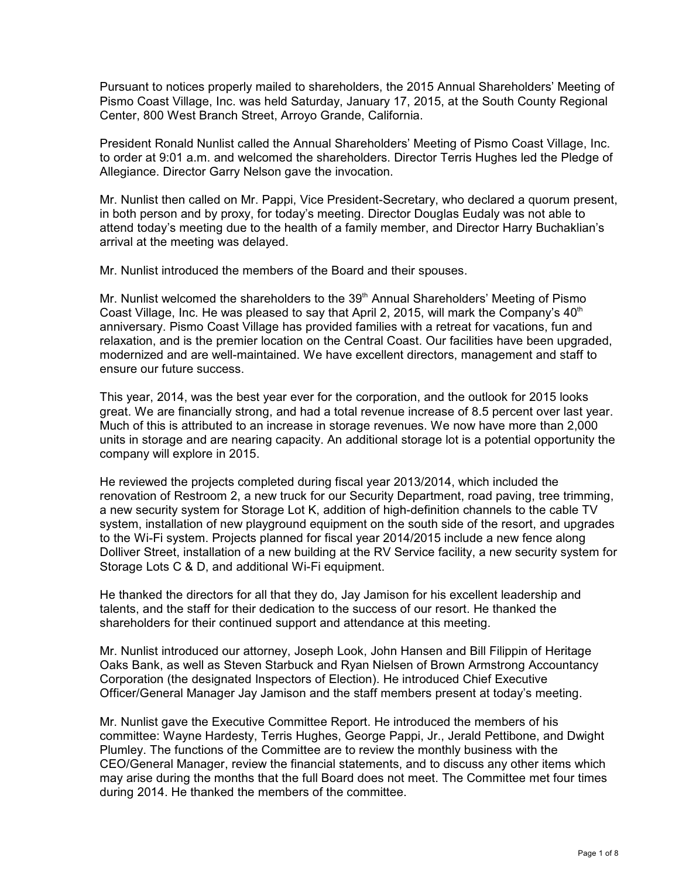Pursuant to notices properly mailed to shareholders, the 2015 Annual Shareholders' Meeting of Pismo Coast Village, Inc. was held Saturday, January 17, 2015, at the South County Regional Center, 800 West Branch Street, Arroyo Grande, California.

President Ronald Nunlist called the Annual Shareholders' Meeting of Pismo Coast Village, Inc. to order at 9:01 a.m. and welcomed the shareholders. Director Terris Hughes led the Pledge of Allegiance. Director Garry Nelson gave the invocation.

Mr. Nunlist then called on Mr. Pappi, Vice President-Secretary, who declared a quorum present, in both person and by proxy, for today's meeting. Director Douglas Eudaly was not able to attend today's meeting due to the health of a family member, and Director Harry Buchaklian's arrival at the meeting was delayed.

Mr. Nunlist introduced the members of the Board and their spouses.

Mr. Nunlist welcomed the shareholders to the 39<sup>th</sup> Annual Shareholders' Meeting of Pismo Coast Village, Inc. He was pleased to say that April 2, 2015, will mark the Company's  $40<sup>th</sup>$ anniversary. Pismo Coast Village has provided families with a retreat for vacations, fun and relaxation, and is the premier location on the Central Coast. Our facilities have been upgraded, modernized and are well-maintained. We have excellent directors, management and staff to ensure our future success.

This year, 2014, was the best year ever for the corporation, and the outlook for 2015 looks great. We are financially strong, and had a total revenue increase of 8.5 percent over last year. Much of this is attributed to an increase in storage revenues. We now have more than 2,000 units in storage and are nearing capacity. An additional storage lot is a potential opportunity the company will explore in 2015.

He reviewed the projects completed during fiscal year 2013/2014, which included the renovation of Restroom 2, a new truck for our Security Department, road paving, tree trimming, a new security system for Storage Lot K, addition of high-definition channels to the cable TV system, installation of new playground equipment on the south side of the resort, and upgrades to the Wi-Fi system. Projects planned for fiscal year 2014/2015 include a new fence along Dolliver Street, installation of a new building at the RV Service facility, a new security system for Storage Lots C & D, and additional Wi-Fi equipment.

He thanked the directors for all that they do, Jay Jamison for his excellent leadership and talents, and the staff for their dedication to the success of our resort. He thanked the shareholders for their continued support and attendance at this meeting.

Mr. Nunlist introduced our attorney, Joseph Look, John Hansen and Bill Filippin of Heritage Oaks Bank, as well as Steven Starbuck and Ryan Nielsen of Brown Armstrong Accountancy Corporation (the designated Inspectors of Election). He introduced Chief Executive Officer/General Manager Jay Jamison and the staff members present at today's meeting.

Mr. Nunlist gave the Executive Committee Report. He introduced the members of his committee: Wayne Hardesty, Terris Hughes, George Pappi, Jr., Jerald Pettibone, and Dwight Plumley. The functions of the Committee are to review the monthly business with the CEO/General Manager, review the financial statements, and to discuss any other items which may arise during the months that the full Board does not meet. The Committee met four times during 2014. He thanked the members of the committee.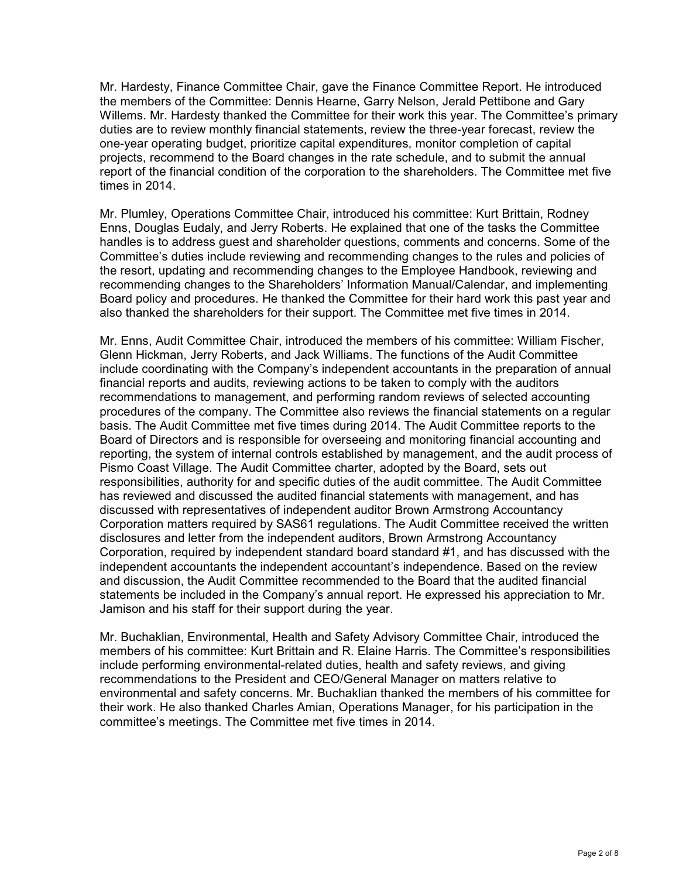Mr. Hardesty, Finance Committee Chair, gave the Finance Committee Report. He introduced the members of the Committee: Dennis Hearne, Garry Nelson, Jerald Pettibone and Gary Willems. Mr. Hardesty thanked the Committee for their work this year. The Committee's primary duties are to review monthly financial statements, review the three-year forecast, review the one-year operating budget, prioritize capital expenditures, monitor completion of capital projects, recommend to the Board changes in the rate schedule, and to submit the annual report of the financial condition of the corporation to the shareholders. The Committee met five times in 2014.

Mr. Plumley, Operations Committee Chair, introduced his committee: Kurt Brittain, Rodney Enns, Douglas Eudaly, and Jerry Roberts. He explained that one of the tasks the Committee handles is to address guest and shareholder questions, comments and concerns. Some of the Committee's duties include reviewing and recommending changes to the rules and policies of the resort, updating and recommending changes to the Employee Handbook, reviewing and recommending changes to the Shareholders' Information Manual/Calendar, and implementing Board policy and procedures. He thanked the Committee for their hard work this past year and also thanked the shareholders for their support. The Committee met five times in 2014.

Mr. Enns, Audit Committee Chair, introduced the members of his committee: William Fischer, Glenn Hickman, Jerry Roberts, and Jack Williams. The functions of the Audit Committee include coordinating with the Company's independent accountants in the preparation of annual financial reports and audits, reviewing actions to be taken to comply with the auditors recommendations to management, and performing random reviews of selected accounting procedures of the company. The Committee also reviews the financial statements on a regular basis. The Audit Committee met five times during 2014. The Audit Committee reports to the Board of Directors and is responsible for overseeing and monitoring financial accounting and reporting, the system of internal controls established by management, and the audit process of Pismo Coast Village. The Audit Committee charter, adopted by the Board, sets out responsibilities, authority for and specific duties of the audit committee. The Audit Committee has reviewed and discussed the audited financial statements with management, and has discussed with representatives of independent auditor Brown Armstrong Accountancy Corporation matters required by SAS61 regulations. The Audit Committee received the written disclosures and letter from the independent auditors, Brown Armstrong Accountancy Corporation, required by independent standard board standard #1, and has discussed with the independent accountants the independent accountant's independence. Based on the review and discussion, the Audit Committee recommended to the Board that the audited financial statements be included in the Company's annual report. He expressed his appreciation to Mr. Jamison and his staff for their support during the year.

Mr. Buchaklian, Environmental, Health and Safety Advisory Committee Chair, introduced the members of his committee: Kurt Brittain and R. Elaine Harris. The Committee's responsibilities include performing environmental-related duties, health and safety reviews, and giving recommendations to the President and CEO/General Manager on matters relative to environmental and safety concerns. Mr. Buchaklian thanked the members of his committee for their work. He also thanked Charles Amian, Operations Manager, for his participation in the committee's meetings. The Committee met five times in 2014.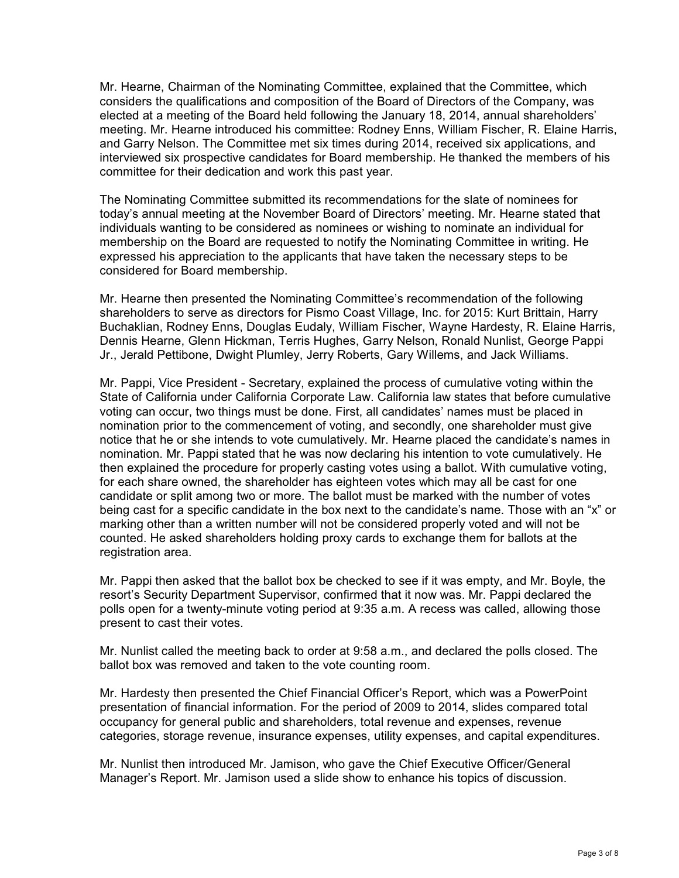Mr. Hearne, Chairman of the Nominating Committee, explained that the Committee, which considers the qualifications and composition of the Board of Directors of the Company, was elected at a meeting of the Board held following the January 18, 2014, annual shareholders' meeting. Mr. Hearne introduced his committee: Rodney Enns, William Fischer, R. Elaine Harris, and Garry Nelson. The Committee met six times during 2014, received six applications, and interviewed six prospective candidates for Board membership. He thanked the members of his committee for their dedication and work this past year.

The Nominating Committee submitted its recommendations for the slate of nominees for today's annual meeting at the November Board of Directors' meeting. Mr. Hearne stated that individuals wanting to be considered as nominees or wishing to nominate an individual for membership on the Board are requested to notify the Nominating Committee in writing. He expressed his appreciation to the applicants that have taken the necessary steps to be considered for Board membership.

Mr. Hearne then presented the Nominating Committee's recommendation of the following shareholders to serve as directors for Pismo Coast Village, Inc. for 2015: Kurt Brittain, Harry Buchaklian, Rodney Enns, Douglas Eudaly, William Fischer, Wayne Hardesty, R. Elaine Harris, Dennis Hearne, Glenn Hickman, Terris Hughes, Garry Nelson, Ronald Nunlist, George Pappi Jr., Jerald Pettibone, Dwight Plumley, Jerry Roberts, Gary Willems, and Jack Williams.

Mr. Pappi, Vice President - Secretary, explained the process of cumulative voting within the State of California under California Corporate Law. California law states that before cumulative voting can occur, two things must be done. First, all candidates' names must be placed in nomination prior to the commencement of voting, and secondly, one shareholder must give notice that he or she intends to vote cumulatively. Mr. Hearne placed the candidate's names in nomination. Mr. Pappi stated that he was now declaring his intention to vote cumulatively. He then explained the procedure for properly casting votes using a ballot. With cumulative voting, for each share owned, the shareholder has eighteen votes which may all be cast for one candidate or split among two or more. The ballot must be marked with the number of votes being cast for a specific candidate in the box next to the candidate's name. Those with an "x" or marking other than a written number will not be considered properly voted and will not be counted. He asked shareholders holding proxy cards to exchange them for ballots at the registration area.

Mr. Pappi then asked that the ballot box be checked to see if it was empty, and Mr. Boyle, the resort's Security Department Supervisor, confirmed that it now was. Mr. Pappi declared the polls open for a twenty-minute voting period at 9:35 a.m. A recess was called, allowing those present to cast their votes.

Mr. Nunlist called the meeting back to order at 9:58 a.m., and declared the polls closed. The ballot box was removed and taken to the vote counting room.

Mr. Hardesty then presented the Chief Financial Officer's Report, which was a PowerPoint presentation of financial information. For the period of 2009 to 2014, slides compared total occupancy for general public and shareholders, total revenue and expenses, revenue categories, storage revenue, insurance expenses, utility expenses, and capital expenditures.

Mr. Nunlist then introduced Mr. Jamison, who gave the Chief Executive Officer/General Manager's Report. Mr. Jamison used a slide show to enhance his topics of discussion.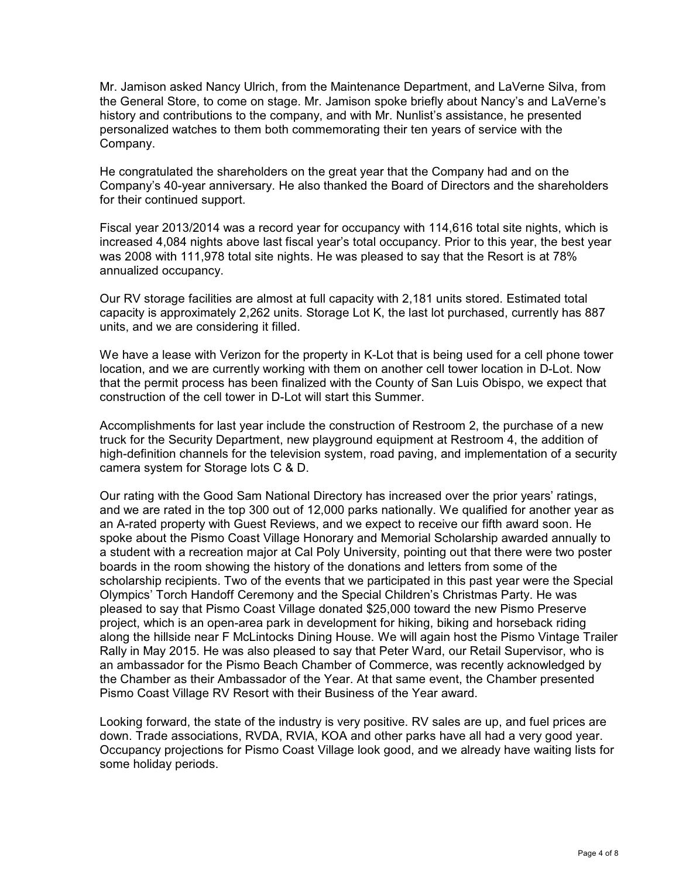Mr. Jamison asked Nancy Ulrich, from the Maintenance Department, and LaVerne Silva, from the General Store, to come on stage. Mr. Jamison spoke briefly about Nancy's and LaVerne's history and contributions to the company, and with Mr. Nunlist's assistance, he presented personalized watches to them both commemorating their ten years of service with the Company.

He congratulated the shareholders on the great year that the Company had and on the Company's 40-year anniversary. He also thanked the Board of Directors and the shareholders for their continued support.

Fiscal year 2013/2014 was a record year for occupancy with 114,616 total site nights, which is increased 4,084 nights above last fiscal year's total occupancy. Prior to this year, the best year was 2008 with 111,978 total site nights. He was pleased to say that the Resort is at 78% annualized occupancy.

Our RV storage facilities are almost at full capacity with 2,181 units stored. Estimated total capacity is approximately 2,262 units. Storage Lot K, the last lot purchased, currently has 887 units, and we are considering it filled.

We have a lease with Verizon for the property in K-Lot that is being used for a cell phone tower location, and we are currently working with them on another cell tower location in D-Lot. Now that the permit process has been finalized with the County of San Luis Obispo, we expect that construction of the cell tower in D-Lot will start this Summer.

Accomplishments for last year include the construction of Restroom 2, the purchase of a new truck for the Security Department, new playground equipment at Restroom 4, the addition of high-definition channels for the television system, road paving, and implementation of a security camera system for Storage lots C & D.

Our rating with the Good Sam National Directory has increased over the prior years' ratings, and we are rated in the top 300 out of 12,000 parks nationally. We qualified for another year as an A-rated property with Guest Reviews, and we expect to receive our fifth award soon. He spoke about the Pismo Coast Village Honorary and Memorial Scholarship awarded annually to a student with a recreation major at Cal Poly University, pointing out that there were two poster boards in the room showing the history of the donations and letters from some of the scholarship recipients. Two of the events that we participated in this past year were the Special Olympics' Torch Handoff Ceremony and the Special Children's Christmas Party. He was pleased to say that Pismo Coast Village donated \$25,000 toward the new Pismo Preserve project, which is an open-area park in development for hiking, biking and horseback riding along the hillside near F McLintocks Dining House. We will again host the Pismo Vintage Trailer Rally in May 2015. He was also pleased to say that Peter Ward, our Retail Supervisor, who is an ambassador for the Pismo Beach Chamber of Commerce, was recently acknowledged by the Chamber as their Ambassador of the Year. At that same event, the Chamber presented Pismo Coast Village RV Resort with their Business of the Year award.

Looking forward, the state of the industry is very positive. RV sales are up, and fuel prices are down. Trade associations, RVDA, RVIA, KOA and other parks have all had a very good year. Occupancy projections for Pismo Coast Village look good, and we already have waiting lists for some holiday periods.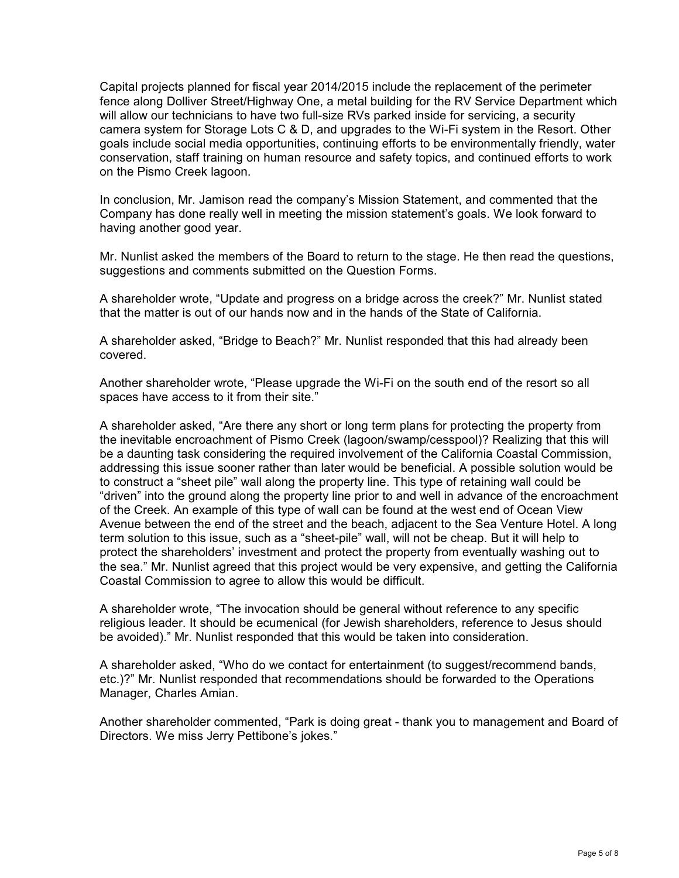Capital projects planned for fiscal year 2014/2015 include the replacement of the perimeter fence along Dolliver Street/Highway One, a metal building for the RV Service Department which will allow our technicians to have two full-size RVs parked inside for servicing, a security camera system for Storage Lots C & D, and upgrades to the Wi-Fi system in the Resort. Other goals include social media opportunities, continuing efforts to be environmentally friendly, water conservation, staff training on human resource and safety topics, and continued efforts to work on the Pismo Creek lagoon.

In conclusion, Mr. Jamison read the company's Mission Statement, and commented that the Company has done really well in meeting the mission statement's goals. We look forward to having another good year.

Mr. Nunlist asked the members of the Board to return to the stage. He then read the questions, suggestions and comments submitted on the Question Forms.

A shareholder wrote, "Update and progress on a bridge across the creek?" Mr. Nunlist stated that the matter is out of our hands now and in the hands of the State of California.

A shareholder asked, "Bridge to Beach?" Mr. Nunlist responded that this had already been covered.

Another shareholder wrote, "Please upgrade the Wi-Fi on the south end of the resort so all spaces have access to it from their site."

A shareholder asked, "Are there any short or long term plans for protecting the property from the inevitable encroachment of Pismo Creek (lagoon/swamp/cesspool)? Realizing that this will be a daunting task considering the required involvement of the California Coastal Commission, addressing this issue sooner rather than later would be beneficial. A possible solution would be to construct a "sheet pile" wall along the property line. This type of retaining wall could be "driven" into the ground along the property line prior to and well in advance of the encroachment of the Creek. An example of this type of wall can be found at the west end of Ocean View Avenue between the end of the street and the beach, adjacent to the Sea Venture Hotel. A long term solution to this issue, such as a "sheet-pile" wall, will not be cheap. But it will help to protect the shareholders' investment and protect the property from eventually washing out to the sea." Mr. Nunlist agreed that this project would be very expensive, and getting the California Coastal Commission to agree to allow this would be difficult.

A shareholder wrote, "The invocation should be general without reference to any specific religious leader. It should be ecumenical (for Jewish shareholders, reference to Jesus should be avoided)." Mr. Nunlist responded that this would be taken into consideration.

A shareholder asked, "Who do we contact for entertainment (to suggest/recommend bands, etc.)?" Mr. Nunlist responded that recommendations should be forwarded to the Operations Manager, Charles Amian.

Another shareholder commented, "Park is doing great - thank you to management and Board of Directors. We miss Jerry Pettibone's jokes."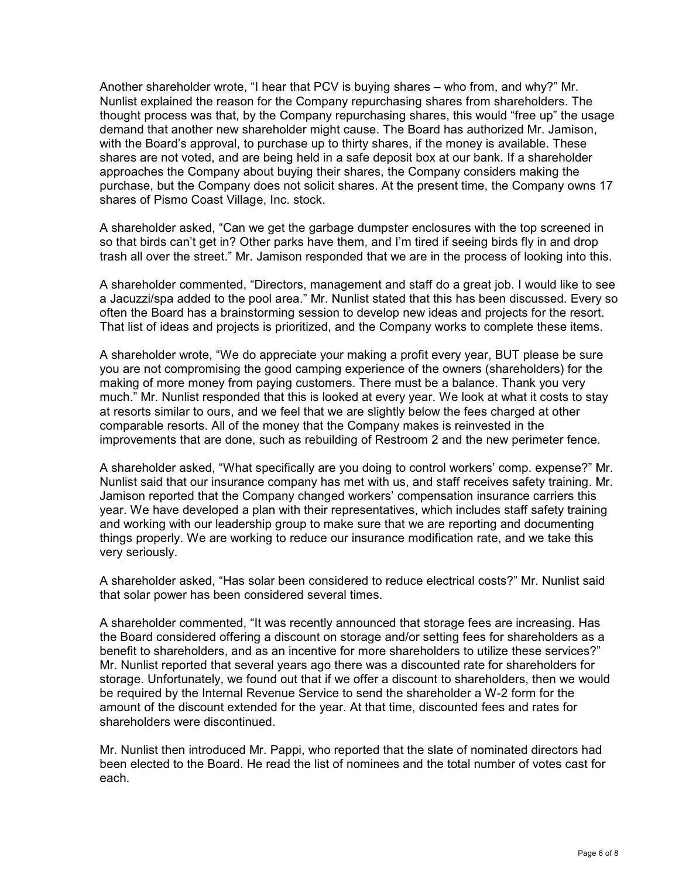Another shareholder wrote, "I hear that PCV is buying shares – who from, and why?" Mr. Nunlist explained the reason for the Company repurchasing shares from shareholders. The thought process was that, by the Company repurchasing shares, this would "free up" the usage demand that another new shareholder might cause. The Board has authorized Mr. Jamison, with the Board's approval, to purchase up to thirty shares, if the money is available. These shares are not voted, and are being held in a safe deposit box at our bank. If a shareholder approaches the Company about buying their shares, the Company considers making the purchase, but the Company does not solicit shares. At the present time, the Company owns 17 shares of Pismo Coast Village, Inc. stock.

A shareholder asked, "Can we get the garbage dumpster enclosures with the top screened in so that birds can't get in? Other parks have them, and I'm tired if seeing birds fly in and drop trash all over the street." Mr. Jamison responded that we are in the process of looking into this.

A shareholder commented, "Directors, management and staff do a great job. I would like to see a Jacuzzi/spa added to the pool area." Mr. Nunlist stated that this has been discussed. Every so often the Board has a brainstorming session to develop new ideas and projects for the resort. That list of ideas and projects is prioritized, and the Company works to complete these items.

A shareholder wrote, "We do appreciate your making a profit every year, BUT please be sure you are not compromising the good camping experience of the owners (shareholders) for the making of more money from paying customers. There must be a balance. Thank you very much." Mr. Nunlist responded that this is looked at every year. We look at what it costs to stay at resorts similar to ours, and we feel that we are slightly below the fees charged at other comparable resorts. All of the money that the Company makes is reinvested in the improvements that are done, such as rebuilding of Restroom 2 and the new perimeter fence.

A shareholder asked, "What specifically are you doing to control workers' comp. expense?" Mr. Nunlist said that our insurance company has met with us, and staff receives safety training. Mr. Jamison reported that the Company changed workers' compensation insurance carriers this year. We have developed a plan with their representatives, which includes staff safety training and working with our leadership group to make sure that we are reporting and documenting things properly. We are working to reduce our insurance modification rate, and we take this very seriously.

A shareholder asked, "Has solar been considered to reduce electrical costs?" Mr. Nunlist said that solar power has been considered several times.

A shareholder commented, "It was recently announced that storage fees are increasing. Has the Board considered offering a discount on storage and/or setting fees for shareholders as a benefit to shareholders, and as an incentive for more shareholders to utilize these services?" Mr. Nunlist reported that several years ago there was a discounted rate for shareholders for storage. Unfortunately, we found out that if we offer a discount to shareholders, then we would be required by the Internal Revenue Service to send the shareholder a W-2 form for the amount of the discount extended for the year. At that time, discounted fees and rates for shareholders were discontinued.

Mr. Nunlist then introduced Mr. Pappi, who reported that the slate of nominated directors had been elected to the Board. He read the list of nominees and the total number of votes cast for each.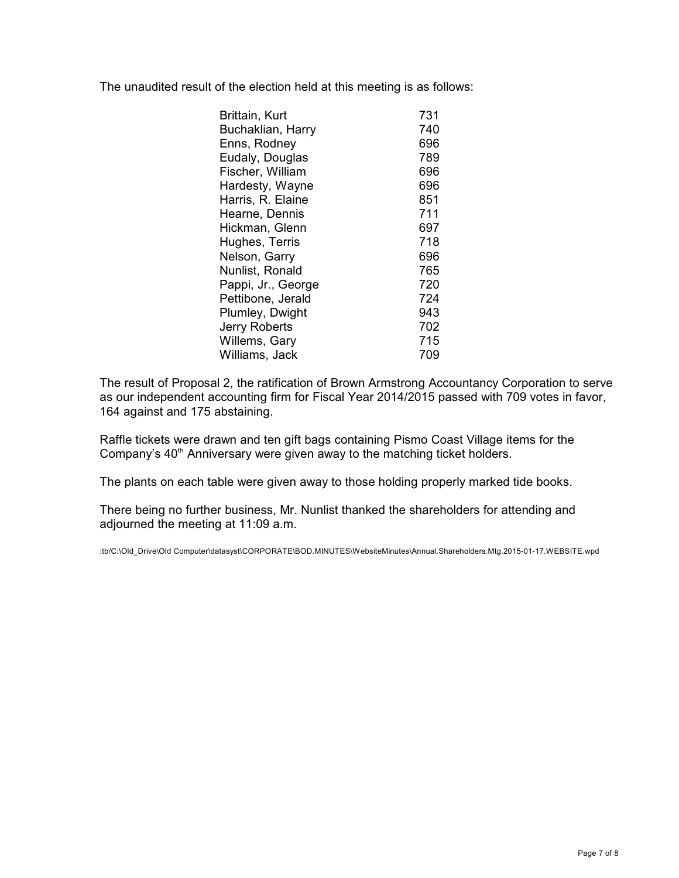The unaudited result of the election held at this meeting is as follows:

| Brittain, Kurt     | 731 |
|--------------------|-----|
| Buchaklian, Harry  | 740 |
| Enns, Rodney       | 696 |
| Eudaly, Douglas    | 789 |
| Fischer, William   | 696 |
| Hardesty, Wayne    | 696 |
| Harris, R. Elaine  | 851 |
| Hearne, Dennis     | 711 |
| Hickman, Glenn     | 697 |
| Hughes, Terris     | 718 |
| Nelson, Garry      | 696 |
| Nunlist, Ronald    | 765 |
| Pappi, Jr., George | 720 |
| Pettibone, Jerald  | 724 |
| Plumley, Dwight    | 943 |
| Jerry Roberts      | 702 |
| Willems, Gary      | 715 |
| Williams, Jack     | 709 |

The result of Proposal 2, the ratification of Brown Armstrong Accountancy Corporation to serve as our independent accounting firm for Fiscal Year 2014/2015 passed with 709 votes in favor, 164 against and 175 abstaining.

Raffle tickets were drawn and ten gift bags containing Pismo Coast Village items for the Company's 40<sup>th</sup> Anniversary were given away to the matching ticket holders.

The plants on each table were given away to those holding properly marked tide books.

There being no further business, Mr. Nunlist thanked the shareholders for attending and adjourned the meeting at 11:09 a.m.

:tb/C:\Old\_Drive\Old Computer\datasyst\CORPORATE\BOD.MINUTES\WebsiteMinutes\Annual.Shareholders.Mtg.2015-01-17.WEBSITE.wpd